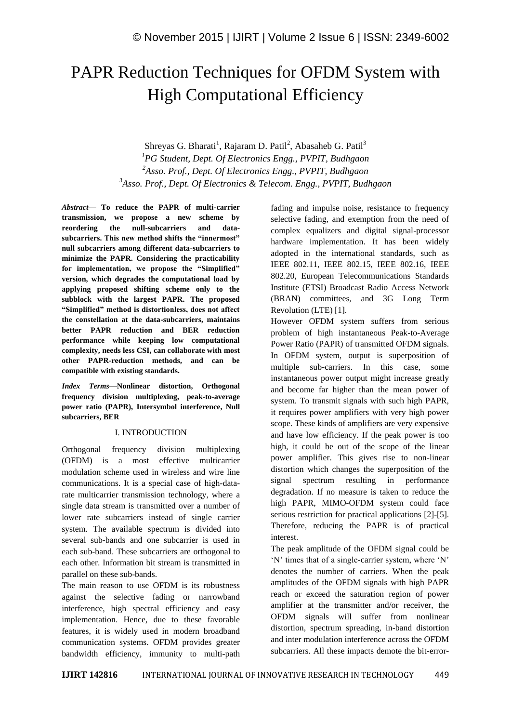# PAPR Reduction Techniques for OFDM System with High Computational Efficiency

Shreyas G. Bharati<sup>1</sup>, Rajaram D. Patil<sup>2</sup>, Abasaheb G. Patil<sup>3</sup> *PG Student, Dept. Of Electronics Engg., PVPIT, Budhgaon Asso. Prof., Dept. Of Electronics Engg., PVPIT, Budhgaon Asso. Prof., Dept. Of Electronics & Telecom. Engg., PVPIT, Budhgaon*

*Abstract—* **To reduce the PAPR of multi-carrier transmission, we propose a new scheme by reordering the null-subcarriers and datasubcarriers. This new method shifts the "innermost" null subcarriers among different data-subcarriers to minimize the PAPR. Considering the practicability for implementation, we propose the "Simplified" version, which degrades the computational load by applying proposed shifting scheme only to the subblock with the largest PAPR. The proposed "Simplified" method is distortionless, does not affect the constellation at the data-subcarriers, maintains better PAPR reduction and BER reduction performance while keeping low computational complexity, needs less CSI, can collaborate with most other PAPR-reduction methods, and can be compatible with existing standards.**

*Index Terms—***Nonlinear distortion, Orthogonal frequency division multiplexing, peak-to-average power ratio (PAPR), Intersymbol interference, Null subcarriers, BER**

### I. INTRODUCTION

Orthogonal frequency division multiplexing (OFDM) is a most effective multicarrier modulation scheme used in wireless and wire line communications. It is a special case of high-datarate multicarrier transmission technology, where a single data stream is transmitted over a number of lower rate subcarriers instead of single carrier system. The available spectrum is divided into several sub-bands and one subcarrier is used in each sub-band. These subcarriers are orthogonal to each other. Information bit stream is transmitted in parallel on these sub-bands.

The main reason to use OFDM is its robustness against the selective fading or narrowband interference, high spectral efficiency and easy implementation. Hence, due to these favorable features, it is widely used in modern broadband communication systems. OFDM provides greater bandwidth efficiency, immunity to multi-path fading and impulse noise, resistance to frequency selective fading, and exemption from the need of complex equalizers and digital signal-processor hardware implementation. It has been widely adopted in the international standards, such as IEEE 802.11, IEEE 802.15, IEEE 802.16, IEEE 802.20, European Telecommunications Standards Institute (ETSI) Broadcast Radio Access Network (BRAN) committees, and 3G Long Term Revolution (LTE) [1].

However OFDM system suffers from serious problem of high instantaneous Peak-to-Average Power Ratio (PAPR) of transmitted OFDM signals. In OFDM system, output is superposition of multiple sub-carriers. In this case, some instantaneous power output might increase greatly and become far higher than the mean power of system. To transmit signals with such high PAPR, it requires power amplifiers with very high power scope. These kinds of amplifiers are very expensive and have low efficiency. If the peak power is too high, it could be out of the scope of the linear power amplifier. This gives rise to non-linear distortion which changes the superposition of the signal spectrum resulting in performance degradation. If no measure is taken to reduce the high PAPR, MIMO-OFDM system could face serious restriction for practical applications [2]-[5]. Therefore, reducing the PAPR is of practical interest.

The peak amplitude of the OFDM signal could be 'N' times that of a single-carrier system, where 'N' denotes the number of carriers. When the peak amplitudes of the OFDM signals with high PAPR reach or exceed the saturation region of power amplifier at the transmitter and/or receiver, the OFDM signals will suffer from nonlinear distortion, spectrum spreading, in-band distortion and inter modulation interference across the OFDM subcarriers. All these impacts demote the bit-error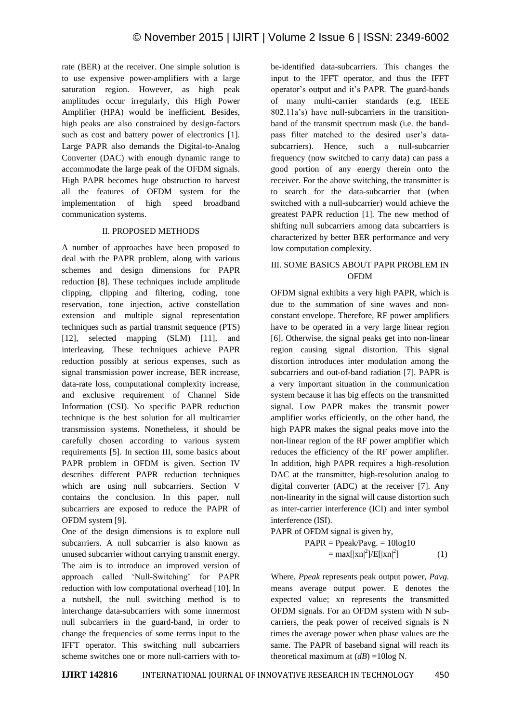rate (BER) at the receiver. One simple solution is to use expensive power-amplifiers with a large saturation region. However, as high peak amplitudes occur irregularly, this High Power Amplifier (HPA) would be inefficient. Besides, high peaks are also constrained by design-factors such as cost and battery power of electronics [1]. Large PAPR also demands the Digital-to-Analog Converter (DAC) with enough dynamic range to accommodate the large peak of the OFDM signals. High PAPR becomes huge obstruction to harvest all the features of OFDM system for the implementation of high speed broadband communication systems.

## II. PROPOSED METHODS

A number of approaches have been proposed to deal with the PAPR problem, along with various schemes and design dimensions for PAPR reduction [8]. These techniques include amplitude clipping, clipping and filtering, coding, tone reservation, tone injection, active constellation extension and multiple signal representation techniques such as partial transmit sequence (PTS) [12], selected mapping (SLM) [11], and interleaving. These techniques achieve PAPR reduction possibly at serious expenses, such as signal transmission power increase, BER increase, data-rate loss, computational complexity increase, and exclusive requirement of Channel Side Information (CSI). No specific PAPR reduction technique is the best solution for all multicarrier transmission systems. Nonetheless, it should be carefully chosen according to various system requirements [5]. In section III, some basics about PAPR problem in OFDM is given. Section IV describes different PAPR reduction techniques which are using null subcarriers. Section V contains the conclusion. In this paper, null subcarriers are exposed to reduce the PAPR of OFDM system [9].

One of the design dimensions is to explore null subcarriers. A null subcarrier is also known as unused subcarrier without carrying transmit energy. The aim is to introduce an improved version of approach called 'Null-Switching' for PAPR reduction with low computational overhead [10]. In a nutshell, the null switching method is to interchange data-subcarriers with some innermost null subcarriers in the guard-band, in order to change the frequencies of some terms input to the IFFT operator. This switching null subcarriers scheme switches one or more null-carriers with tobe-identified data-subcarriers. This changes the input to the IFFT operator, and thus the IFFT operator's output and it's PAPR. The guard-bands of many multi-carrier standards (e.g. IEEE 802.11a's) have null-subcarriers in the transitionband of the transmit spectrum mask (i.e. the bandpass filter matched to the desired user's datasubcarriers). Hence, such a null-subcarrier frequency (now switched to carry data) can pass a good portion of any energy therein onto the receiver. For the above switching, the transmitter is to search for the data-subcarrier that (when switched with a null-subcarrier) would achieve the greatest PAPR reduction [1]. The new method of shifting null subcarriers among data subcarriers is characterized by better BER performance and very low computation complexity.

# III. SOME BASICS ABOUT PAPR PROBLEM IN OFDM

OFDM signal exhibits a very high PAPR, which is due to the summation of sine waves and nonconstant envelope. Therefore, RF power amplifiers have to be operated in a very large linear region [6]. Otherwise, the signal peaks get into non-linear region causing signal distortion. This signal distortion introduces inter modulation among the subcarriers and out-of-band radiation [7]. PAPR is a very important situation in the communication system because it has big effects on the transmitted signal. Low PAPR makes the transmit power amplifier works efficiently, on the other hand, the high PAPR makes the signal peaks move into the non-linear region of the RF power amplifier which reduces the efficiency of the RF power amplifier. In addition, high PAPR requires a high-resolution DAC at the transmitter, high-resolution analog to digital converter (ADC) at the receiver [7]. Any non-linearity in the signal will cause distortion such as inter-carrier interference (ICI) and inter symbol interference (ISI).

PAPR of OFDM signal is given by,

$$
PAPR = Ppeak/Payg. = 10log10
$$

$$
= max[|xn|^2]/E[|xn|^2]
$$
(1)

Where, *Ppeak* represents peak output power, *Pavg.* means average output power. E denotes the expected value; xn represents the transmitted OFDM signals. For an OFDM system with N subcarriers, the peak power of received signals is N times the average power when phase values are the same. The PAPR of baseband signal will reach its theoretical maximum at  $(dB) = 10\log N$ .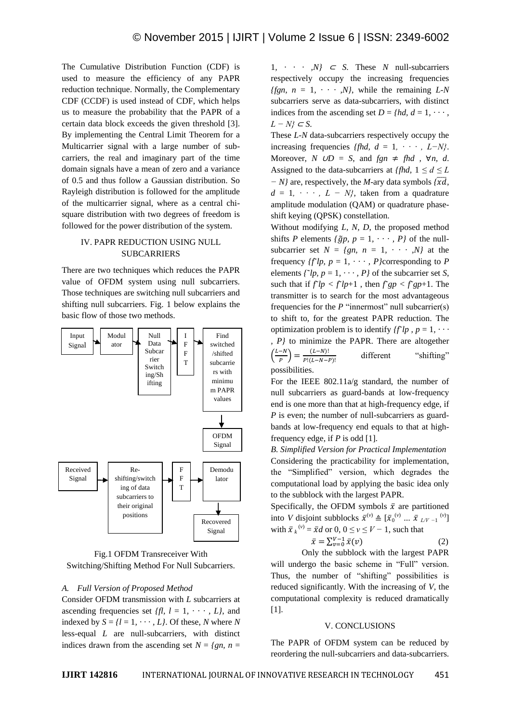The Cumulative Distribution Function (CDF) is used to measure the efficiency of any PAPR reduction technique. Normally, the Complementary CDF (CCDF) is used instead of CDF, which helps us to measure the probability that the PAPR of a certain data block exceeds the given threshold [3]. By implementing the Central Limit Theorem for a Multicarrier signal with a large number of subcarriers, the real and imaginary part of the time domain signals have a mean of zero and a variance of 0.5 and thus follow a Gaussian distribution. So Rayleigh distribution is followed for the amplitude of the multicarrier signal, where as a central chisquare distribution with two degrees of freedom is followed for the power distribution of the system.

## IV. PAPR REDUCTION USING NULL SUBCARRIERS

There are two techniques which reduces the PAPR value of OFDM system using null subcarriers. Those techniques are switching null subcarriers and shifting null subcarriers. Fig. 1 below explains the basic flow of those two methods.



Fig.1 OFDM Transreceiver With Switching/Shifting Method For Null Subcarriers.

### *A. Full Version of Proposed Method*

Consider OFDM transmission with *L* subcarriers at ascending frequencies set  $ffl$ ,  $l = 1, \dots, L$ , and indexed by  $S = \{l = 1, \dots, L\}$ . Of these, *N* where *N* less-equal *L* are null-subcarriers, with distinct indices drawn from the ascending set  $N = \{gn, n =$ 

1,  $\cdots$  *N}*  $\subset$  *S*. These *N* null-subcarriers respectively occupy the increasing frequencies *ffgn, n* = 1,  $\cdots$  *N*, while the remaining *L-N* subcarriers serve as data-subcarriers, with distinct indices from the ascending set  $D = \{hd, d = 1, \dots \}$ *L − N}* <sup>⊂</sup> *S*.

These *L-N* data-subcarriers respectively occupy the increasing frequencies *{fhd, d = 1, · · · , L-N}*. Moreover, *N*  $\cup D = S$ , and  $fgn \neq fhd$ ,  $\forall n, d$ . Assigned to the data-subcarriers at *{fhd,*  $1 \le d \le L$ *− N}* are, respectively, the *M*-ary data symbols  $\sqrt{x}$ *d*,  $d = 1, \cdots, L - N$ , taken from a quadrature amplitude modulation (QAM) or quadrature phaseshift keying (QPSK) constellation.

Without modifying *L, N, D*, the proposed method shifts *P* elements  $\{\tilde{q}p, p = 1, \cdots, P\}$  of the nullsubcarrier set  $N = \{gn, n = 1, \cdots, N\}$  at the frequency  $\{f^{\dagger}lp, p = 1, \cdots, P\}$ corresponding to *P* elements  $\int f^2 p$ ,  $p = 1, \dots, P$  of the subcarrier set *S*, such that if  $f^{\prime}lp < f^{\prime}lp + 1$ , then  $f^{\prime}gp < f^{\prime}gp + 1$ . The transmitter is to search for the most advantageous frequencies for the *P* "innermost" null subcarrier(s) to shift to, for the greatest PAPR reduction. The optimization problem is to identify  ${f^{\pi}}lp$ ,  $p = 1, \cdots$ *, P}* to minimize the PAPR. There are altogether  $\binom{L}{ }$  $\left(\frac{-N}{P}\right) = \frac{0}{P!(0)}$  $\boldsymbol{P}$ different "shifting" possibilities.

For the IEEE 802.11a/g standard, the number of null subcarriers as guard-bands at low-frequency end is one more than that at high-frequency edge, if *P* is even; the number of null-subcarriers as guardbands at low-frequency end equals to that at highfrequency edge, if *P* is odd [1].

*B. Simplified Version for Practical Implementation* Considering the practicability for implementation, the "Simplified" version, which degrades the computational load by applying the basic idea only to the subblock with the largest PAPR.

Specifically, the OFDM symbols  $\bar{x}$  are partitioned into *V* disjoint subblocks  $\bar{x}^{(v)} \triangleq [\bar{x}_0^{(v)} \dots \bar{x}_{L/V-1}^{(v)}]$ with  $\bar{x}_k^{(v)} = \bar{x}d$  or 0,  $0 \le v \le V - 1$ , such that

$$
\bar{x} = \sum_{\nu=0}^{V-1} \bar{x}(\nu) \tag{2}
$$

Only the subblock with the largest PAPR will undergo the basic scheme in "Full" version. Thus, the number of "shifting" possibilities is reduced significantly. With the increasing of *V,* the computational complexity is reduced dramatically [1].

#### V. CONCLUSIONS

The PAPR of OFDM system can be reduced by reordering the null-subcarriers and data-subcarriers.